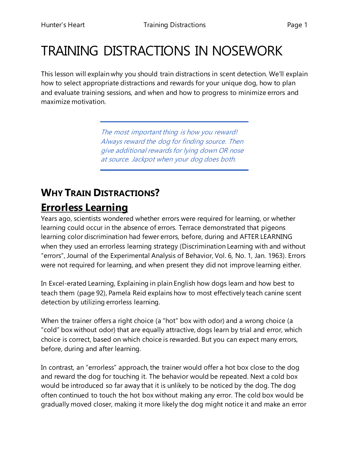## TRAINING DISTRACTIONS IN NOSEWORK

This lesson will explain why you should train distractions in scent detection. We'll explain how to select appropriate distractions and rewards for your unique dog, how to plan and evaluate training sessions, and when and how to progress to minimize errors and maximize motivation.

> The most important thing is how you reward! Always reward the dog for finding source. Then give additional rewards for lying down OR nose at source. Jackpot when your dog does both.

## **WHY TRAIN DISTRACTIONS?**

#### **Errorless Learning**

Years ago, scientists wondered whether errors were required for learning, or whether learning could occur in the absence of errors. Terrace demonstrated that pigeons learning color discrimination had fewer errors, before, during and AFTER LEARNING when they used an errorless learning strategy (Discrimination Learning with and without "errors", Journal of the Experimental Analysis of Behavior, Vol. 6, No. 1, Jan. 1963). Errors were not required for learning, and when present they did not improve learning either.

In Excel-erated Learning, Explaining in plain English how dogs learn and how best to teach them (page 92), Pamela Reid explains how to most effectively teach canine scent detection by utilizing errorless learning.

When the trainer offers a right choice (a "hot" box with odor) and a wrong choice (a "cold" box without odor) that are equally attractive, dogs learn by trial and error, which choice is correct, based on which choice is rewarded. But you can expect many errors, before, during and after learning.

In contrast, an "errorless" approach, the trainer would offer a hot box close to the dog and reward the dog for touching it. The behavior would be repeated. Next a cold box would be introduced so far away that it is unlikely to be noticed by the dog. The dog often continued to touch the hot box without making any error. The cold box would be gradually moved closer, making it more likely the dog might notice it and make an error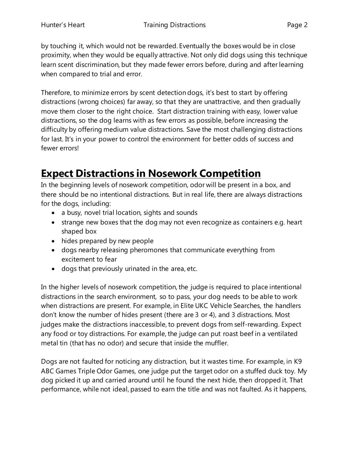by touching it, which would not be rewarded. Eventually the boxes would be in close proximity, when they would be equally attractive. Not only did dogs using this technique learn scent discrimination, but they made fewer errors before, during and after learning when compared to trial and error.

Therefore, to minimize errors by scent detection dogs, it's best to start by offering distractions (wrong choices) far away, so that they are unattractive, and then gradually move them closer to the right choice. Start distraction training with easy, lower value distractions, so the dog learns with as few errors as possible, before increasing the difficulty by offering medium value distractions. Save the most challenging distractions for last. It's in your power to control the environment for better odds of success and fewer errors!

#### **Expect Distractions in Nosework Competition**

In the beginning levels of nosework competition, odor will be present in a box, and there should be no intentional distractions. But in real life, there are always distractions for the dogs, including:

- a busy, novel trial location, sights and sounds
- strange new boxes that the dog may not even recognize as containers e.g. heart shaped box
- hides prepared by new people
- dogs nearby releasing pheromones that communicate everything from excitement to fear
- dogs that previously urinated in the area, etc.

In the higher levels of nosework competition, the judge is required to place intentional distractions in the search environment, so to pass, your dog needs to be able to work when distractions are present. For example, in Elite UKC Vehicle Searches, the handlers don't know the number of hides present (there are 3 or 4), and 3 distractions. Most judges make the distractions inaccessible, to prevent dogs from self-rewarding. Expect any food or toy distractions. For example, the judge can put roast beef in a ventilated metal tin (that has no odor) and secure that inside the muffler.

Dogs are not faulted for noticing any distraction, but it wastes time. For example, in K9 ABC Games Triple Odor Games, one judge put the target odor on a stuffed duck toy. My dog picked it up and carried around until he found the next hide, then dropped it. That performance, while not ideal, passed to earn the title and was not faulted. As it happens,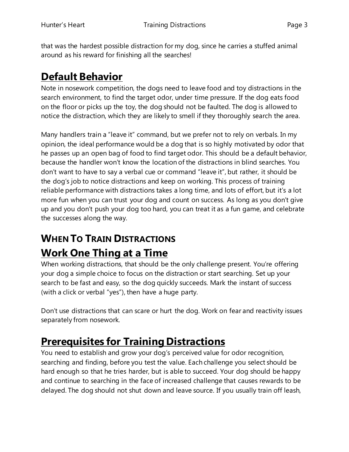that was the hardest possible distraction for my dog, since he carries a stuffed animal around as his reward for finishing all the searches!

## **Default Behavior**

Note in nosework competition, the dogs need to leave food and toy distractions in the search environment, to find the target odor, under time pressure. If the dog eats food on the floor or picks up the toy, the dog should not be faulted. The dog is allowed to notice the distraction, which they are likely to smell if they thoroughly search the area.

Many handlers train a "leave it" command, but we prefer not to rely on verbals. In my opinion, the ideal performance would be a dog that is so highly motivated by odor that he passes up an open bag of food to find target odor. This should be a default behavior, because the handler won't know the location of the distractions in blind searches. You don't want to have to say a verbal cue or command "leave it", but rather, it should be the dog's job to notice distractions and keep on working. This process of training reliable performance with distractions takes a long time, and lots of effort, but it's a lot more fun when you can trust your dog and count on success. As long as you don't give up and you don't push your dog too hard, you can treat it as a fun game, and celebrate the successes along the way.

## **WHEN TO TRAIN DISTRACTIONS Work One Thing at a Time**

When working distractions, that should be the only challenge present. You're offering your dog a simple choice to focus on the distraction or start searching. Set up your search to be fast and easy, so the dog quickly succeeds. Mark the instant of success (with a click or verbal "yes"), then have a huge party.

Don't use distractions that can scare or hurt the dog. Work on fear and reactivity issues separately from nosework.

## **Prerequisites for Training Distractions**

You need to establish and grow your dog's perceived value for odor recognition, searching and finding, before you test the value. Each challenge you select should be hard enough so that he tries harder, but is able to succeed. Your dog should be happy and continue to searching in the face of increased challenge that causes rewards to be delayed. The dog should not shut down and leave source. If you usually train off leash,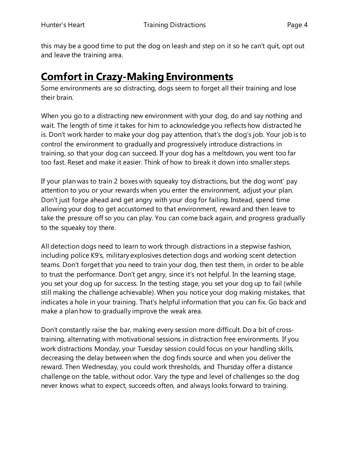this may be a good time to put the dog on leash and step on it so he can't quit, opt out and leave the training area.

#### **Comfort in Crazy-Making Environments**

Some environments are so distracting, dogs seem to forget all their training and lose their brain.

When you go to a distracting new environment with your dog, do and say nothing and wait. The length of time it takes for him to acknowledge you reflects how distracted he is. Don't work harder to make your dog pay attention, that's the dog's job. Your job is to control the environment to gradually and progressively introduce distractions in training, so that your dog can succeed. If your dog has a meltdown, you went too far too fast. Reset and make it easier. Think of how to break it down into smaller steps.

If your plan was to train 2 boxes with squeaky toy distractions, but the dog wont' pay attention to you or your rewards when you enter the environment, adjust your plan. Don't just forge ahead and get angry with your dog for failing. Instead, spend time allowing your dog to get accustomed to that environment, reward and then leave to take the pressure off so you can play. You can come back again, and progress gradually to the squeaky toy there.

All detection dogs need to learn to work through distractions in a stepwise fashion, including police K9's, military explosives detection dogs and working scent detection teams. Don't forget that you need to train your dog, then test them, in order to be able to trust the performance. Don't get angry, since it's not helpful. In the learning stage, you set your dog up for success. In the testing stage, you set your dog up to fail (while still making the challenge achievable). When you notice your dog making mistakes, that indicates a hole in your training. That's helpful information that you can fix. Go back and make a plan how to gradually improve the weak area.

Don't constantly raise the bar, making every session more difficult. Do a bit of crosstraining, alternating with motivational sessions in distraction free environments. If you work distractions Monday, your Tuesday session could focus on your handling skills, decreasing the delay between when the dog finds source and when you deliver the reward. Then Wednesday, you could work thresholds, and Thursday offer a distance challenge on the table, without odor. Vary the type and level of challenges so the dog never knows what to expect, succeeds often, and always looks forward to training.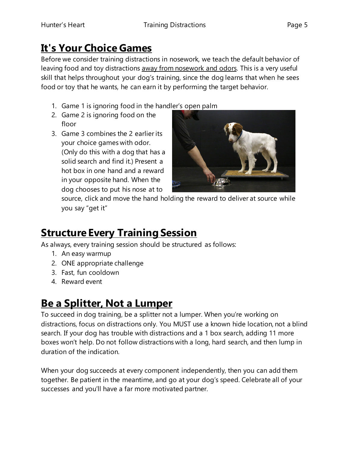## **It's Your Choice Games**

Before we consider training distractions in nosework, we teach the default behavior of leaving food and toy distractions away from nosework and odors. This is a very useful skill that helps throughout your dog's training, since the dog learns that when he sees food or toy that he wants, he can earn it by performing the target behavior.

- 1. Game 1 is ignoring food in the handler's open palm
- 2. Game 2 is ignoring food on the floor
- 3. Game 3 combines the 2 earlier its your choice games with odor. (Only do this with a dog that has a solid search and find it.) Present a hot box in one hand and a reward in your opposite hand. When the dog chooses to put his nose at to



source, click and move the hand holding the reward to deliver at source while you say "get it"

## **Structure Every Training Session**

As always, every training session should be structured as follows:

- 1. An easy warmup
- 2. ONE appropriate challenge
- 3. Fast, fun cooldown
- 4. Reward event

## **Be a Splitter, Not a Lumper**

To succeed in dog training, be a splitter not a lumper. When you're working on distractions, focus on distractions only. You MUST use a known hide location, not a blind search. If your dog has trouble with distractions and a 1 box search, adding 11 more boxes won't help. Do not follow distractions with a long, hard search, and then lump in duration of the indication.

When your dog succeeds at every component independently, then you can add them together. Be patient in the meantime, and go at your dog's speed. Celebrate all of your successes and you'll have a far more motivated partner.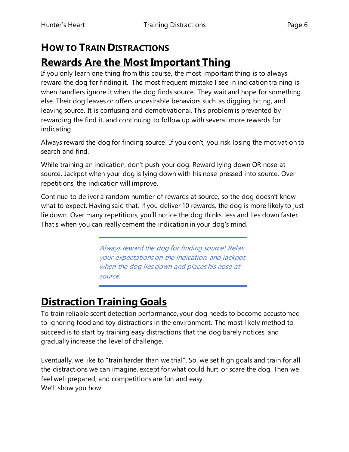#### **HOW TO TRAIN DISTRACTIONS Rewards Are the Most Important Thing**

If you only learn one thing from this course, the most important thing is to always reward the dog for finding it. The most frequent mistake I see in indication training is when handlers ignore it when the dog finds source. They wait and hope for something else. Their dog leaves or offers undesirable behaviors such as digging, biting, and leaving source. It is confusing and demotivational. This problem is prevented by rewarding the find it, and continuing to follow up with several more rewards for indicating.

Always reward the dog for finding source! If you don't, you risk losing the motivation to search and find.

While training an indication, don't push your dog. Reward lying down OR nose at source. Jackpot when your dog is lying down with his nose pressed into source. Over repetitions, the indication will improve.

Continue to deliver a random number of rewards at source, so the dog doesn't know what to expect. Having said that, if you deliver 10 rewards, the dog is more likely to just lie down. Over many repetitions, you'll notice the dog thinks less and lies down faster. That's when you can really cement the indication in your dog's mind.

> Always reward the dog for finding source! Relax your expectations on the indication, and jackpot when the dog lies down and places his nose at source.

## **Distraction Training Goals**

To train reliable scent detection performance, your dog needs to become accustomed to ignoring food and toy distractions in the environment. The most likely method to succeed is to start by training easy distractions that the dog barely notices, and gradually increase the level of challenge.

Eventually, we like to "train harder than we trial". So, we set high goals and train for all the distractions we can imagine, except for what could hurt or scare the dog. Then we feel well prepared, and competitions are fun and easy. We'll show you how.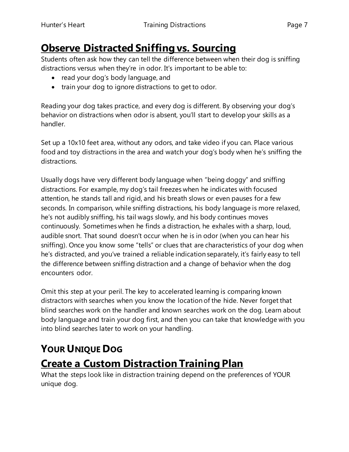## **Observe Distracted Sniffing vs. Sourcing**

Students often ask how they can tell the difference between when their dog is sniffing distractions versus when they're in odor. It's important to be able to:

- read your dog's body language, and
- train your dog to ignore distractions to get to odor.

Reading your dog takes practice, and every dog is different. By observing your dog's behavior on distractions when odor is absent, you'll start to develop your skills as a handler.

Set up a 10x10 feet area, without any odors, and take video if you can. Place various food and toy distractions in the area and watch your dog's body when he's sniffing the distractions.

Usually dogs have very different body language when "being doggy" and sniffing distractions. For example, my dog's tail freezes when he indicates with focused attention, he stands tall and rigid, and his breath slows or even pauses for a few seconds. In comparison, while sniffing distractions, his body language is more relaxed, he's not audibly sniffing, his tail wags slowly, and his body continues moves continuously. Sometimes when he finds a distraction, he exhales with a sharp, loud, audible snort. That sound doesn't occur when he is in odor (when you can hear his sniffing). Once you know some "tells" or clues that are characteristics of your dog when he's distracted, and you've trained a reliable indication separately, it's fairly easy to tell the difference between sniffing distraction and a change of behavior when the dog encounters odor.

Omit this step at your peril. The key to accelerated learning is comparing known distractors with searches when you know the location of the hide. Never forget that blind searches work on the handler and known searches work on the dog. Learn about body language and train your dog first, and then you can take that knowledge with you into blind searches later to work on your handling.

# **YOUR UNIQUE DOG**

#### **Create a Custom Distraction Training Plan**

What the steps look like in distraction training depend on the preferences of YOUR unique dog.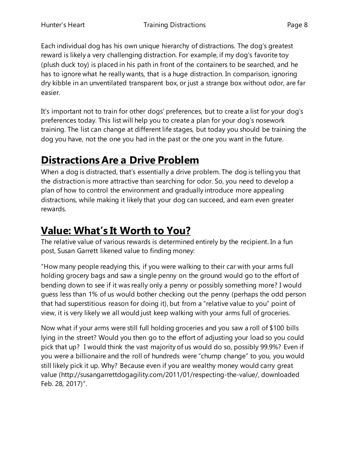Each individual dog has his own unique hierarchy of distractions. The dog's greatest reward is likely a very challenging distraction. For example, if my dog's favorite toy (plush duck toy) is placed in his path in front of the containers to be searched, and he has to ignore what he really wants, that is a huge distraction. In comparison, ignoring dry kibble in an unventilated transparent box, or just a strange box without odor, are far easier.

It's important not to train for other dogs' preferences, but to create a list for your dog's preferences today. This list will help you to create a plan for your dog's nosework training. The list can change at different life stages, but today you should be training the dog you have, not the one you had in the past or the one you want in the future.

## **Distractions Are a Drive Problem**

When a dog is distracted, that's essentially a drive problem. The dog is telling you that the distraction is more attractive than searching for odor. So, you need to develop a plan of how to control the environment and gradually introduce more appealing distractions, while making it likely that your dog can succeed, and earn even greater rewards.

## **Value: What's It Worth to You?**

The relative value of various rewards is determined entirely by the recipient. In a fun post, Susan Garrett likened value to finding money:

"How many people readying this, if you were walking to their car with your arms full holding grocery bags and saw a single penny on the ground would go to the effort of bending down to see if it was really only a penny or possibly something more? I would guess less than 1% of us would bother checking out the penny (perhaps the odd person that had superstitious reason for doing it), but from a "relative value to you" point of view, it is very likely we all would just keep walking with your arms full of groceries.

Now what if your arms were still full holding groceries and you saw a roll of \$100 bills lying in the street? Would you then go to the effort of adjusting your load so you could pick that up? I would think the vast majority of us would do so, possibly 99.9%? Even if you were a billionaire and the roll of hundreds were "chump change" to you, you would still likely pick it up. Why? Because even if you are wealthy money would carry great value [\(http://susangarrettdogagility.com/2011/01/respecting-the-value/,](http://susangarrettdogagility.com/2011/01/respecting-the-value/) downloaded Feb. 28, 2017)".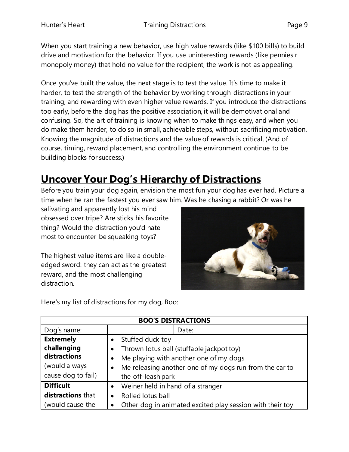When you start training a new behavior, use high value rewards (like \$100 bills) to build drive and motivation for the behavior. If you use uninteresting rewards (like pennies r monopoly money) that hold no value for the recipient, the work is not as appealing.

Once you've built the value, the next stage is to test the value. It's time to make it harder, to test the strength of the behavior by working through distractions in your training, and rewarding with even higher value rewards. If you introduce the distractions too early, before the dog has the positive association, it will be demotivational and confusing. So, the art of training is knowing when to make things easy, and when you do make them harder, to do so in small, achievable steps, without sacrificing motivation. Knowing the magnitude of distractions and the value of rewards is critical. (And of course, timing, reward placement, and controlling the environment continue to be building blocks for success.)

## **Uncover Your Dog's Hierarchy of Distractions**

Before you train your dog again, envision the most fun your dog has ever had. Picture a time when he ran the fastest you ever saw him. Was he chasing a rabbit? Or was he

salivating and apparently lost his mind obsessed over tripe? Are sticks his favorite thing? Would the distraction you'd hate most to encounter be squeaking toys?

The highest value items are like a doubleedged sword: they can act as the greatest reward, and the most challenging distraction.



Here's my list of distractions for my dog, Boo:

| <b>BOO'S DISTRACTIONS</b> |                                                           |                                                         |  |  |  |  |  |
|---------------------------|-----------------------------------------------------------|---------------------------------------------------------|--|--|--|--|--|
| Dog's name:               |                                                           | Date:                                                   |  |  |  |  |  |
| <b>Extremely</b>          | Stuffed duck toy                                          |                                                         |  |  |  |  |  |
| challenging               |                                                           | Thrown lotus ball (stuffable jackpot toy)               |  |  |  |  |  |
| distractions              | $\bullet$                                                 | Me playing with another one of my dogs                  |  |  |  |  |  |
| (would always             | $\bullet$                                                 | Me releasing another one of my dogs run from the car to |  |  |  |  |  |
| cause dog to fail)        | the off-leash park                                        |                                                         |  |  |  |  |  |
| <b>Difficult</b>          | $\bullet$                                                 | Weiner held in hand of a stranger                       |  |  |  |  |  |
| distractions that         | Rolled lotus ball                                         |                                                         |  |  |  |  |  |
| (would cause the          | Other dog in animated excited play session with their toy |                                                         |  |  |  |  |  |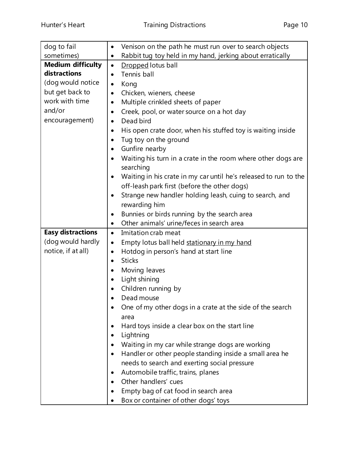| dog to fail              | Venison on the path he must run over to search objects<br>$\bullet$       |  |  |  |  |  |
|--------------------------|---------------------------------------------------------------------------|--|--|--|--|--|
| sometimes)               | Rabbit tug toy held in my hand, jerking about erratically                 |  |  |  |  |  |
| <b>Medium difficulty</b> | Dropped lotus ball<br>$\bullet$                                           |  |  |  |  |  |
| distractions             | Tennis ball<br>$\bullet$                                                  |  |  |  |  |  |
| (dog would notice        | Kong<br>$\bullet$                                                         |  |  |  |  |  |
| but get back to          | Chicken, wieners, cheese<br>$\bullet$                                     |  |  |  |  |  |
| work with time           | Multiple crinkled sheets of paper<br>$\bullet$                            |  |  |  |  |  |
| and/or                   | Creek, pool, or water source on a hot day<br>$\bullet$                    |  |  |  |  |  |
| encouragement)           | Dead bird<br>$\bullet$                                                    |  |  |  |  |  |
|                          | His open crate door, when his stuffed toy is waiting inside<br>$\bullet$  |  |  |  |  |  |
|                          | Tug toy on the ground                                                     |  |  |  |  |  |
|                          | Gunfire nearby<br>$\bullet$                                               |  |  |  |  |  |
|                          | Waiting his turn in a crate in the room where other dogs are<br>searching |  |  |  |  |  |
|                          | Waiting in his crate in my car until he's released to run to the          |  |  |  |  |  |
|                          | off-leash park first (before the other dogs)                              |  |  |  |  |  |
|                          | Strange new handler holding leash, cuing to search, and                   |  |  |  |  |  |
|                          | rewarding him                                                             |  |  |  |  |  |
|                          | Bunnies or birds running by the search area<br>$\bullet$                  |  |  |  |  |  |
|                          | Other animals' urine/feces in search area<br>$\bullet$                    |  |  |  |  |  |
| <b>Easy distractions</b> | Imitation crab meat<br>$\bullet$                                          |  |  |  |  |  |
| (dog would hardly        | Empty lotus ball held stationary in my hand<br>$\bullet$                  |  |  |  |  |  |
| notice, if at all)       | Hotdog in person's hand at start line<br>$\bullet$                        |  |  |  |  |  |
|                          | <b>Sticks</b><br>$\bullet$                                                |  |  |  |  |  |
|                          | Moving leaves                                                             |  |  |  |  |  |
|                          | Light shining                                                             |  |  |  |  |  |
|                          | Children running by                                                       |  |  |  |  |  |
|                          | Dead mouse                                                                |  |  |  |  |  |
|                          | One of my other dogs in a crate at the side of the search                 |  |  |  |  |  |
|                          | area                                                                      |  |  |  |  |  |
|                          | Hard toys inside a clear box on the start line                            |  |  |  |  |  |
|                          | Lightning                                                                 |  |  |  |  |  |
|                          | Waiting in my car while strange dogs are working                          |  |  |  |  |  |
|                          | Handler or other people standing inside a small area he                   |  |  |  |  |  |
|                          | needs to search and exerting social pressure                              |  |  |  |  |  |
|                          | Automobile traffic, trains, planes<br>Other handlers' cues                |  |  |  |  |  |
|                          | Empty bag of cat food in search area                                      |  |  |  |  |  |
|                          |                                                                           |  |  |  |  |  |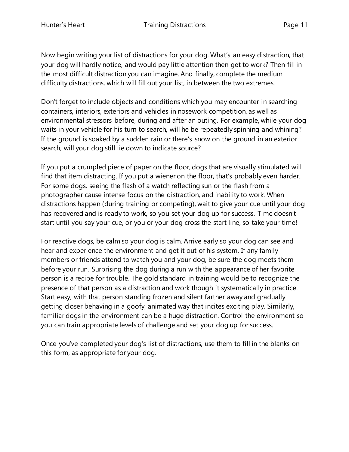Now begin writing your list of distractions for your dog. What's an easy distraction, that your dog will hardly notice, and would pay little attention then get to work? Then fill in the most difficult distraction you can imagine. And finally, complete the medium difficulty distractions, which will fill out your list, in between the two extremes.

Don't forget to include objects and conditions which you may encounter in searching containers, interiors, exteriors and vehicles in nosework competition, as well as environmental stressors before, during and after an outing. For example, while your dog waits in your vehicle for his turn to search, will he be repeatedly spinning and whining? If the ground is soaked by a sudden rain or there's snow on the ground in an exterior search, will your dog still lie down to indicate source?

If you put a crumpled piece of paper on the floor, dogs that are visually stimulated will find that item distracting. If you put a wiener on the floor, that's probably even harder. For some dogs, seeing the flash of a watch reflecting sun or the flash from a photographer cause intense focus on the distraction, and inability to work. When distractions happen (during training or competing), wait to give your cue until your dog has recovered and is ready to work, so you set your dog up for success. Time doesn't start until you say your cue, or you or your dog cross the start line, so take your time!

For reactive dogs, be calm so your dog is calm. Arrive early so your dog can see and hear and experience the environment and get it out of his system. If any family members or friends attend to watch you and your dog, be sure the dog meets them before your run. Surprising the dog during a run with the appearance of her favorite person is a recipe for trouble. The gold standard in training would be to recognize the presence of that person as a distraction and work though it systematically in practice. Start easy, with that person standing frozen and silent farther away and gradually getting closer behaving in a goofy, animated way that incites exciting play. Similarly, familiar dogs in the environment can be a huge distraction. Control the environment so you can train appropriate levels of challenge and set your dog up for success.

Once you've completed your dog's list of distractions, use them to fill in the blanks on this form, as appropriate for your dog.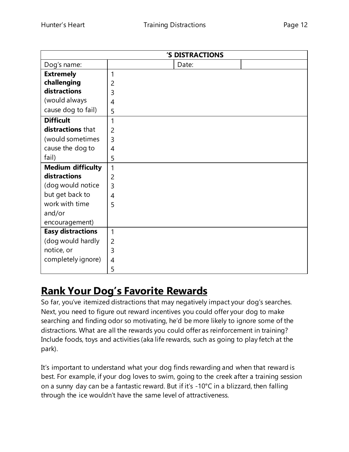|                          | 'S DISTRACTIONS |       |  |  |  |  |
|--------------------------|-----------------|-------|--|--|--|--|
| Dog's name:              |                 | Date: |  |  |  |  |
| <b>Extremely</b>         | 1               |       |  |  |  |  |
| challenging              | 2               |       |  |  |  |  |
| distractions             | $\overline{3}$  |       |  |  |  |  |
| (would always            | $\overline{4}$  |       |  |  |  |  |
| cause dog to fail)       | 5               |       |  |  |  |  |
| <b>Difficult</b>         | 1               |       |  |  |  |  |
| distractions that        | $\overline{2}$  |       |  |  |  |  |
| (would sometimes         | $\overline{3}$  |       |  |  |  |  |
| cause the dog to         | 4               |       |  |  |  |  |
| fail)                    | 5               |       |  |  |  |  |
| <b>Medium difficulty</b> | 1               |       |  |  |  |  |
| distractions             | $\overline{2}$  |       |  |  |  |  |
| (dog would notice        | 3               |       |  |  |  |  |
| but get back to          | $\overline{4}$  |       |  |  |  |  |
| work with time           | 5               |       |  |  |  |  |
| and/or                   |                 |       |  |  |  |  |
| encouragement)           |                 |       |  |  |  |  |
| <b>Easy distractions</b> | $\mathbf{1}$    |       |  |  |  |  |
| (dog would hardly        | $\overline{2}$  |       |  |  |  |  |
| notice, or               | 3               |       |  |  |  |  |
| completely ignore)       | 4               |       |  |  |  |  |
|                          | 5               |       |  |  |  |  |

#### **Rank Your Dog's Favorite Rewards**

So far, you've itemized distractions that may negatively impact your dog's searches. Next, you need to figure out reward incentives you could offer your dog to make searching and finding odor so motivating, he'd be more likely to ignore some of the distractions. What are all the rewards you could offer as reinforcement in training? Include foods, toys and activities (aka life rewards, such as going to play fetch at the park).

It's important to understand what your dog finds rewarding and when that reward is best. For example, if your dog loves to swim, going to the creek after a training session on a sunny day can be a fantastic reward. But if it's -10°C in a blizzard, then falling through the ice wouldn't have the same level of attractiveness.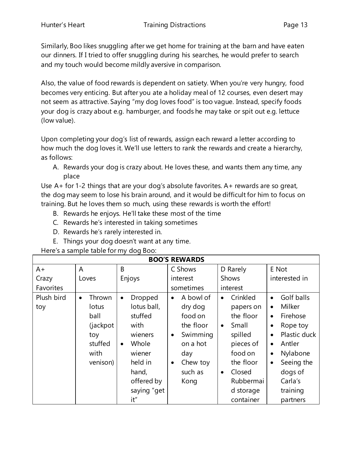Similarly, Boo likes snuggling after we get home for training at the barn and have eaten our dinners. If I tried to offer snuggling during his searches, he would prefer to search and my touch would become mildly aversive in comparison.

Also, the value of food rewards is dependent on satiety. When you're very hungry, food becomes very enticing. But after you ate a holiday meal of 12 courses, even desert may not seem as attractive. Saying "my dog loves food" is too vague. Instead, specify foods your dog is crazy about e.g. hamburger, and foods he may take or spit out e.g. lettuce (low value).

Upon completing your dog's list of rewards, assign each reward a letter according to how much the dog loves it. We'll use letters to rank the rewards and create a hierarchy, as follows:

A. Rewards your dog is crazy about. He loves these, and wants them any time, any place

Use A+ for 1-2 things that are your dog's absolute favorites. A+ rewards are so great, the dog may seem to lose his brain around, and it would be difficult for him to focus on training. But he loves them so much, using these rewards is worth the effort!

- B. Rewards he enjoys. He'll take these most of the time
- C. Rewards he's interested in taking sometimes
- D. Rewards he's rarely interested in.
- E. Things your dog doesn't want at any time.

Here's a sample table for my dog Boo:

| <b>BOO'S REWARDS</b> |                                                                                        |                                                                                                              |                                                                                                                                |                                                                                                                       |                                                                                                                                                                                                          |  |
|----------------------|----------------------------------------------------------------------------------------|--------------------------------------------------------------------------------------------------------------|--------------------------------------------------------------------------------------------------------------------------------|-----------------------------------------------------------------------------------------------------------------------|----------------------------------------------------------------------------------------------------------------------------------------------------------------------------------------------------------|--|
| $A +$                | A                                                                                      | B                                                                                                            | C Shows                                                                                                                        | D Rarely                                                                                                              | E Not                                                                                                                                                                                                    |  |
| Crazy                | Loves                                                                                  | Enjoys                                                                                                       | interest                                                                                                                       | Shows                                                                                                                 |                                                                                                                                                                                                          |  |
| Favorites            |                                                                                        |                                                                                                              | sometimes                                                                                                                      | interest                                                                                                              |                                                                                                                                                                                                          |  |
| Plush bird<br>toy    | Thrown<br>$\bullet$<br>lotus<br>ball<br>(jackpot<br>toy<br>stuffed<br>with<br>venison) | Dropped<br>$\bullet$<br>lotus ball,<br>stuffed<br>with<br>wieners<br>Whole<br>$\bullet$<br>wiener<br>held in | A bowl of<br>$\bullet$<br>dry dog<br>food on<br>the floor<br>Swimming<br>$\bullet$<br>on a hot<br>day<br>Chew toy<br>$\bullet$ | Crinkled<br>$\bullet$<br>papers on<br>the floor<br>Small<br>$\bullet$<br>spilled<br>pieces of<br>food on<br>the floor | Golf balls<br>$\bullet$<br>Milker<br>$\bullet$<br>Firehose<br>$\bullet$<br>Rope toy<br>$\bullet$<br>Plastic duck<br>$\bullet$<br>Antler<br>$\bullet$<br>Nylabone<br>$\bullet$<br>Seeing the<br>$\bullet$ |  |
|                      |                                                                                        | hand,<br>offered by                                                                                          | such as<br>Kong                                                                                                                | Closed<br>$\bullet$<br>Rubbermai                                                                                      | dogs of<br>Carla's                                                                                                                                                                                       |  |
|                      |                                                                                        | saying "get<br>it"                                                                                           |                                                                                                                                | d storage<br>container                                                                                                | training<br>partners                                                                                                                                                                                     |  |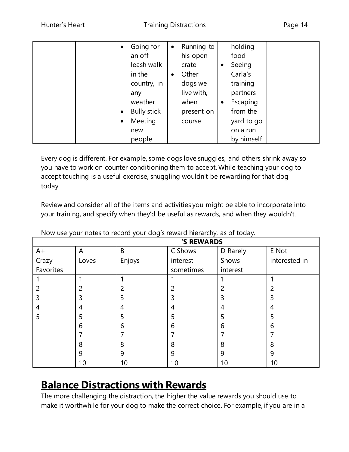|  | $\bullet$ | Going for          | $\bullet$ | Running to |           | holding    |  |
|--|-----------|--------------------|-----------|------------|-----------|------------|--|
|  |           | an off             |           | his open   |           | food       |  |
|  |           | leash walk         |           | crate      | $\bullet$ | Seeing     |  |
|  |           | in the             | $\bullet$ | Other      |           | Carla's    |  |
|  |           | country, in        |           | dogs we    |           | training   |  |
|  |           | any                |           | live with, |           | partners   |  |
|  |           | weather            |           | when       | $\bullet$ | Escaping   |  |
|  | $\bullet$ | <b>Bully stick</b> |           | present on |           | from the   |  |
|  | $\bullet$ | Meeting            |           | course     |           | yard to go |  |
|  |           | new                |           |            |           | on a run   |  |
|  |           | people             |           |            |           | by himself |  |

Every dog is different. For example, some dogs love snuggles, and others shrink away so you have to work on counter conditioning them to accept. While teaching your dog to accept touching is a useful exercise, snuggling wouldn't be rewarding for that dog today.

Review and consider all of the items and activities you might be able to incorporate into your training, and specify when they'd be useful as rewards, and when they wouldn't.

|           | 'S REWARDS |        |           |                |               |  |  |
|-----------|------------|--------|-----------|----------------|---------------|--|--|
| $A+$      | A          | B      | C Shows   | D Rarely       | E Not         |  |  |
| Crazy     | Loves      | Enjoys | interest  | Shows          | interested in |  |  |
| Favorites |            |        | sometimes | interest       |               |  |  |
|           |            |        |           |                |               |  |  |
| 2         | 2          | 2      |           | $\overline{2}$ | 2             |  |  |
| 3         | 3          | 3      | 3         | 3              | 3             |  |  |
| 4         | 4          | 4      | 4         | 4              | 4             |  |  |
| 5         | 5          | 5      |           | 5              | 5             |  |  |
|           | 6          | 6      | 6         | 6              | 6             |  |  |
|           |            | 7      |           | 7              |               |  |  |
|           | 8          | 8      | 8         | 8              | 8             |  |  |
|           | 9          | 9      | 9         | 9              | 9             |  |  |
|           | 10         | 10     | 10        | 10             | 10            |  |  |

Now use your notes to record your dog's reward hierarchy, as of today.

## **Balance Distractions with Rewards**

The more challenging the distraction, the higher the value rewards you should use to make it worthwhile for your dog to make the correct choice. For example, if you are in a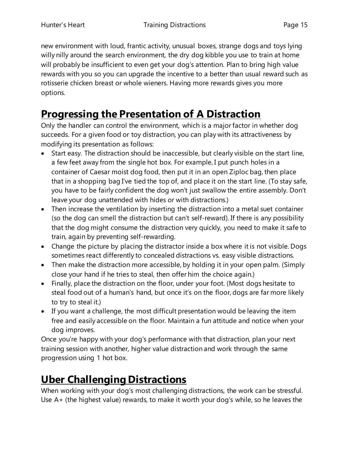new environment with loud, frantic activity, unusual boxes, strange dogs and toys lying willy nilly around the search environment, the dry dog kibble you use to train at home will probably be insufficient to even get your dog's attention. Plan to bring high value rewards with you so you can upgrade the incentive to a better than usual reward such as rotisserie chicken breast or whole wieners. Having more rewards gives you more options.

## **Progressing the Presentation of A Distraction**

Only the handler can control the environment, which is a major factor in whether dog succeeds. For a given food or toy distraction, you can play with its attractiveness by modifying its presentation as follows:

- Start easy. The distraction should be inaccessible, but clearly visible on the start line, a few feet away from the single hot box. For example, I put punch holes in a container of Caesar moist dog food, then put it in an open Ziploc bag, then place that in a shopping bag I've tied the top of, and place it on the start line. (To stay safe, you have to be fairly confident the dog won't just swallow the entire assembly. Don't leave your dog unattended with hides or with distractions.)
- Then increase the ventilation by inserting the distraction into a metal suet container (so the dog can smell the distraction but can't self-reward). If there is any possibility that the dog might consume the distraction very quickly, you need to make it safe to train, again by preventing self-rewarding.
- Change the picture by placing the distractor inside a box where it is not visible. Dogs sometimes react differently to concealed distractions vs. easy visible distractions.
- Then make the distraction more accessible, by holding it in your open palm. (Simply close your hand if he tries to steal, then offer him the choice again.)
- Finally, place the distraction on the floor, under your foot. (Most dogs hesitate to steal food out of a human's hand, but once it's on the floor, dogs are far more likely to try to steal it.)
- If you want a challenge, the most difficult presentation would be leaving the item free and easily accessible on the floor. Maintain a fun attitude and notice when your dog improves.

Once you're happy with your dog's performance with that distraction, plan your next training session with another, higher value distraction and work through the same progression using 1 hot box.

## **Uber Challenging Distractions**

When working with your dog's most challenging distractions, the work can be stressful. Use A+ (the highest value) rewards, to make it worth your dog's while, so he leaves the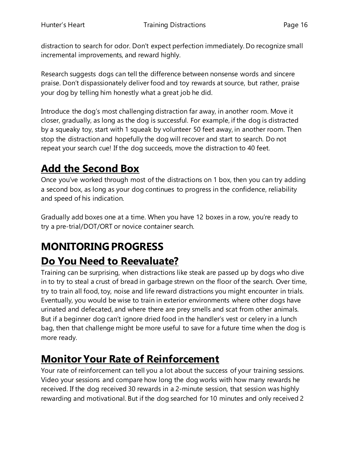distraction to search for odor. Don't expect perfection immediately. Do recognize small incremental improvements, and reward highly.

Research suggests dogs can tell the difference between nonsense words and sincere praise. Don't dispassionately deliver food and toy rewards at source, but rather, praise your dog by telling him honestly what a great job he did.

Introduce the dog's most challenging distraction far away, in another room. Move it closer, gradually, as long as the dog is successful. For example, if the dog is distracted by a squeaky toy, start with 1 squeak by volunteer 50 feet away, in another room. Then stop the distraction and hopefully the dog will recover and start to search. Do not repeat your search cue! If the dog succeeds, move the distraction to 40 feet.

## **Add the Second Box**

Once you've worked through most of the distractions on 1 box, then you can try adding a second box, as long as your dog continues to progress in the confidence, reliability and speed of his indication.

Gradually add boxes one at a time. When you have 12 boxes in a row, you're ready to try a pre-trial/DOT/ORT or novice container search.

## **MONITORING PROGRESS Do You Need to Reevaluate?**

Training can be surprising, when distractions like steak are passed up by dogs who dive in to try to steal a crust of bread in garbage strewn on the floor of the search. Over time, try to train all food, toy, noise and life reward distractions you might encounter in trials. Eventually, you would be wise to train in exterior environments where other dogs have urinated and defecated, and where there are prey smells and scat from other animals. But if a beginner dog can't ignore dried food in the handler's vest or celery in a lunch bag, then that challenge might be more useful to save for a future time when the dog is more ready.

## **Monitor Your Rate of Reinforcement**

Your rate of reinforcement can tell you a lot about the success of your training sessions. Video your sessions and compare how long the dog works with how many rewards he received. If the dog received 30 rewards in a 2-minute session, that session was highly rewarding and motivational. But if the dog searched for 10 minutes and only received 2